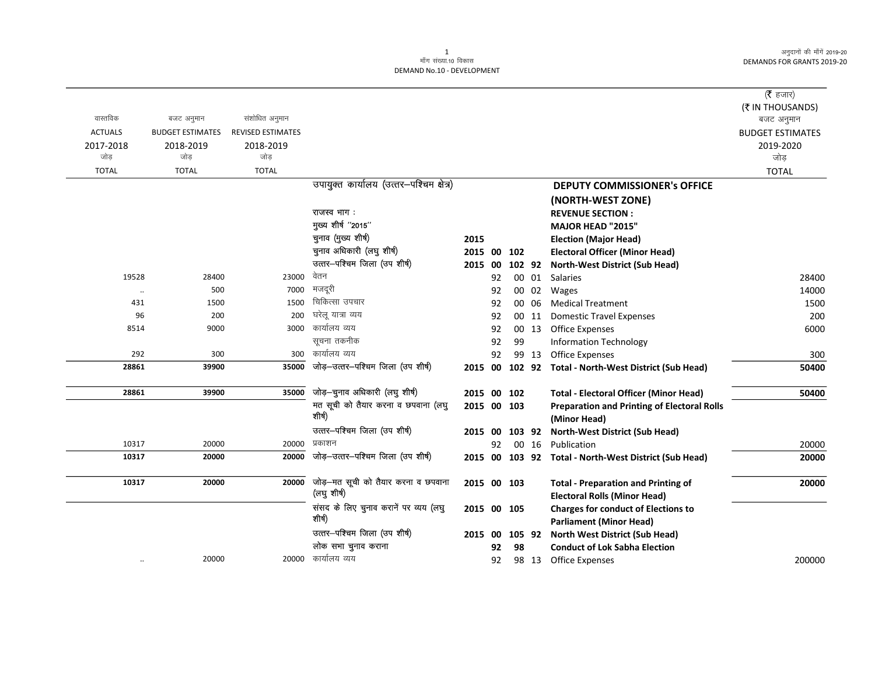|                |                         |                          |                                               |             |    |        |       |                                                                    | ( $\bar{\tau}$ हजार)    |
|----------------|-------------------------|--------------------------|-----------------------------------------------|-------------|----|--------|-------|--------------------------------------------------------------------|-------------------------|
|                |                         |                          |                                               |             |    |        |       |                                                                    | (₹ IN THOUSANDS)        |
| वास्तविक       | बजट अनुमान              | संशोधित अनुमान           |                                               |             |    |        |       |                                                                    | बजट अनुमान              |
| <b>ACTUALS</b> | <b>BUDGET ESTIMATES</b> | <b>REVISED ESTIMATES</b> |                                               |             |    |        |       |                                                                    | <b>BUDGET ESTIMATES</b> |
| 2017-2018      | 2018-2019               | 2018-2019                |                                               |             |    |        |       |                                                                    | 2019-2020               |
| जोड            | जोड                     | जोड                      |                                               |             |    |        |       |                                                                    | जोड                     |
| <b>TOTAL</b>   | <b>TOTAL</b>            | <b>TOTAL</b>             |                                               |             |    |        |       |                                                                    | <b>TOTAL</b>            |
|                |                         |                          | उपायुक्त कार्यालय (उत्तर-पश्चिम क्षेत्र)      |             |    |        |       | <b>DEPUTY COMMISSIONER's OFFICE</b>                                |                         |
|                |                         |                          |                                               |             |    |        |       | (NORTH-WEST ZONE)                                                  |                         |
|                |                         |                          | राजस्व भाग:                                   |             |    |        |       | <b>REVENUE SECTION:</b>                                            |                         |
|                |                         |                          | मुख्य शीर्ष "2015"                            |             |    |        |       | <b>MAJOR HEAD "2015"</b>                                           |                         |
|                |                         |                          | चुनाव (मुख्य शीर्ष)                           | 2015        |    |        |       | <b>Election (Major Head)</b>                                       |                         |
|                |                         |                          | चुनाव अधिकारी (लघु शीर्ष)                     | 2015 00     |    | 102    |       | <b>Electoral Officer (Minor Head)</b>                              |                         |
|                |                         |                          | उत्तर-पश्चिम जिला (उप शीर्ष)                  | 2015 00     |    |        |       | 102 92 North-West District (Sub Head)                              |                         |
| 19528          | 28400                   | 23000                    | वेतन                                          |             | 92 |        |       | 00 01 Salaries                                                     | 28400                   |
| $\cdot\cdot$   | 500                     | 7000                     | मजदूरी                                        |             | 92 |        |       | 00 02 Wages                                                        | 14000                   |
| 431            | 1500                    | 1500                     | चिकित्सा उपचार                                |             | 92 |        | 00 06 | <b>Medical Treatment</b>                                           | 1500                    |
| 96             | 200                     | 200                      | घरेलू यात्रा व्यय                             |             | 92 |        |       | 00 11 Domestic Travel Expenses                                     | 200                     |
| 8514           | 9000                    | 3000                     | कार्यालय व्यय                                 |             | 92 |        |       | 00 13 Office Expenses                                              | 6000                    |
|                |                         |                          | सूचना तकनीक                                   |             | 92 | 99     |       | <b>Information Technology</b>                                      |                         |
| 292            | 300                     | 300                      | कार्यालय व्यय                                 |             | 92 |        | 99 13 | <b>Office Expenses</b>                                             | 300                     |
| 28861          | 39900                   | 35000                    | जोड़-उत्तर-पश्चिम जिला (उप शीर्ष)             | 2015 00     |    |        |       | 102 92 Total - North-West District (Sub Head)                      | 50400                   |
| 28861          | 39900                   | 35000                    | जोड़-चुनाव अधिकारी (लघु शीर्ष)                | 2015 00 102 |    |        |       | <b>Total - Electoral Officer (Minor Head)</b>                      | 50400                   |
|                |                         |                          | मत सूची को तैयार करना व छपवाना (लघु<br>शीर्ष) | 2015 00 103 |    |        |       | <b>Preparation and Printing of Electoral Rolls</b><br>(Minor Head) |                         |
|                |                         |                          | उत्तर-पश्चिम जिला (उप शीर्ष)                  | 2015 00     |    |        |       | 103 92 North-West District (Sub Head)                              |                         |
| 10317          | 20000                   |                          | 20000 प्रकाशन                                 |             | 92 |        |       | 00 16 Publication                                                  | 20000                   |
| 10317          | 20000                   | 20000                    | जोड़–उत्तर–पश्चिम जिला (उप शीर्ष)             | 2015 00     |    |        |       | 103 92 Total - North-West District (Sub Head)                      | 20000                   |
| 10317          | 20000                   | 20000                    | जोड़—मत सूची को तैयार करना व छपवाना           | 2015 00 103 |    |        |       | <b>Total - Preparation and Printing of</b>                         | 20000                   |
|                |                         |                          | (लघु शीर्ष)                                   |             |    |        |       | <b>Electoral Rolls (Minor Head)</b>                                |                         |
|                |                         |                          | संसद के लिए चुनाव करानें पर व्यय (लघु         | 2015 00 105 |    |        |       | <b>Charges for conduct of Elections to</b>                         |                         |
|                |                         |                          | शीर्ष)                                        |             |    |        |       | <b>Parliament (Minor Head)</b>                                     |                         |
|                |                         |                          | उत्तर-पश्चिम जिला (उप शीर्ष)                  | 2015 00     |    | 105 92 |       | <b>North West District (Sub Head)</b>                              |                         |
|                |                         |                          | लोक सभा चुनाव कराना                           |             | 92 | 98     |       | <b>Conduct of Lok Sabha Election</b>                               |                         |
| $\ldots$       | 20000                   |                          | 20000 कार्यालय व्यय                           |             | 92 |        | 98 13 | Office Expenses                                                    | 200000                  |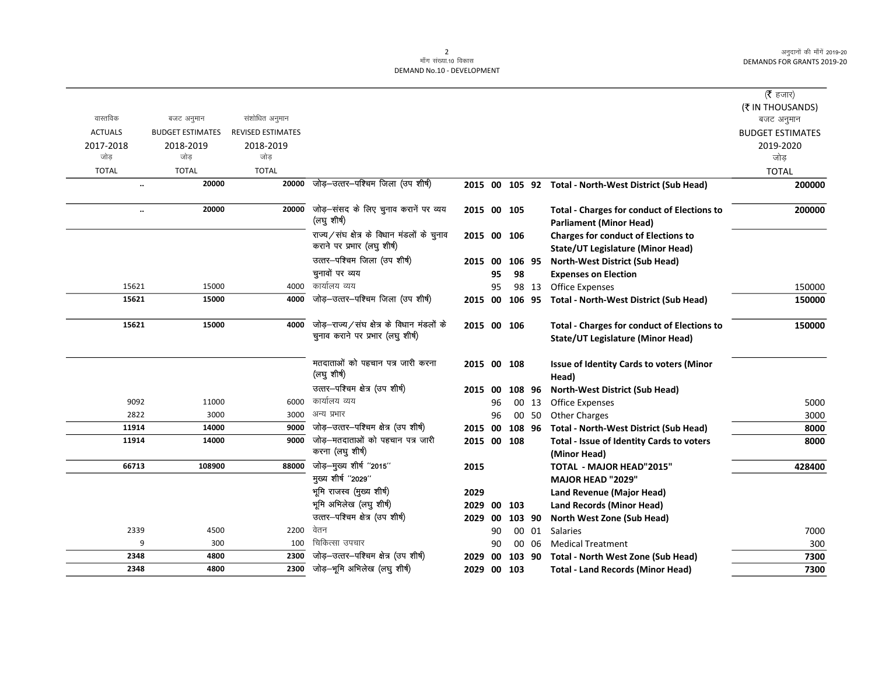|                |                         |                          |                                                                                |             |     |                |       |                                                                                                | ( $\bar{\tau}$ हजार)    |
|----------------|-------------------------|--------------------------|--------------------------------------------------------------------------------|-------------|-----|----------------|-------|------------------------------------------------------------------------------------------------|-------------------------|
|                |                         |                          |                                                                                |             |     |                |       |                                                                                                | (₹ IN THOUSANDS)        |
| वास्तविक       | बजट अनुमान              | संशोधित अनुमान           |                                                                                |             |     |                |       |                                                                                                | बजट अनुमान              |
| <b>ACTUALS</b> | <b>BUDGET ESTIMATES</b> | <b>REVISED ESTIMATES</b> |                                                                                |             |     |                |       |                                                                                                | <b>BUDGET ESTIMATES</b> |
| 2017-2018      | 2018-2019               | 2018-2019                |                                                                                |             |     |                |       |                                                                                                | 2019-2020               |
| जोड            | जोड                     | जोड                      |                                                                                |             |     |                |       |                                                                                                | जोड                     |
| <b>TOTAL</b>   | <b>TOTAL</b>            | <b>TOTAL</b>             |                                                                                |             |     |                |       |                                                                                                | <b>TOTAL</b>            |
|                | 20000<br>               | 20000                    | जोड़-उत्तर-पश्चिम जिला (उप शीर्ष)                                              |             |     |                |       | 2015 00 105 92 Total - North-West District (Sub Head)                                          | 200000                  |
|                | 20000<br>               | 20000                    | जोड़-संसद के लिए चुनाव करानें पर व्यय<br>(लघुशीर्ष)                            | 2015 00 105 |     |                |       | <b>Total - Charges for conduct of Elections to</b><br><b>Parliament (Minor Head)</b>           | 200000                  |
|                |                         |                          | राज्य/संघ क्षेत्र के विधान मंडलों के चुनाव<br>कराने पर प्रभार (लघु शीर्ष)      | 2015 00 106 |     |                |       | <b>Charges for conduct of Elections to</b><br><b>State/UT Legislature (Minor Head)</b>         |                         |
|                |                         |                          | उत्तर-पश्चिम जिला (उप शीर्ष)                                                   | 2015        | -00 | 106 95         |       | <b>North-West District (Sub Head)</b>                                                          |                         |
|                |                         |                          | चुनावों पर व्यय                                                                |             | 95  | 98             |       | <b>Expenses on Election</b>                                                                    |                         |
| 15621          | 15000                   | 4000                     | कार्यालय व्यय                                                                  |             | 95  |                | 98 13 | <b>Office Expenses</b>                                                                         | 150000                  |
| 15621          | 15000                   | 4000                     | जोड़-उत्तर-पश्चिम जिला (उप शीर्ष)                                              |             |     | 2015 00 106 95 |       | <b>Total - North-West District (Sub Head)</b>                                                  | 150000                  |
| 15621          | 15000                   | 4000                     | जोड़-राज्य/संघ क्षेत्र के विधान मंडलों के<br>चुनाव कराने पर प्रभार (लघु शीर्ष) | 2015 00 106 |     |                |       | <b>Total - Charges for conduct of Elections to</b><br><b>State/UT Legislature (Minor Head)</b> | 150000                  |
|                |                         |                          | मतदाताओं को पहचान पत्र जारी करना<br>(लघु शीर्ष)                                | 2015 00 108 |     |                |       | <b>Issue of Identity Cards to voters (Minor</b><br>Head)                                       |                         |
|                |                         |                          | उत्तर-पश्चिम क्षेत्र (उप शीर्ष)                                                | 2015 00     |     | 108 96         |       | North-West District (Sub Head)                                                                 |                         |
| 9092           | 11000                   | 6000                     | कार्यालय व्यय                                                                  |             | 96  |                | 00 13 | <b>Office Expenses</b>                                                                         | 5000                    |
| 2822           | 3000                    | 3000                     | अन्य प्रभार                                                                    |             | 96  |                | 00 50 | <b>Other Charges</b>                                                                           | 3000                    |
| 11914          | 14000                   | 9000                     | जोड़-उत्तर-पश्चिम क्षेत्र (उप शीर्ष)                                           | 2015        | 00  | 108 96         |       | <b>Total - North-West District (Sub Head)</b>                                                  | 8000                    |
| 11914          | 14000                   | 9000                     | जोड़–मतदाताओं को पहचान पत्र जारी<br>करना (लघु शीर्ष)                           | 2015 00 108 |     |                |       | Total - Issue of Identity Cards to voters<br>(Minor Head)                                      | 8000                    |
| 66713          | 108900                  | 88000                    | जोड़-मुख्य शीर्ष "2015"                                                        | 2015        |     |                |       | TOTAL - MAJOR HEAD"2015"                                                                       | 428400                  |
|                |                         |                          | मुख्य शीर्ष "2029"                                                             |             |     |                |       | <b>MAJOR HEAD "2029"</b>                                                                       |                         |
|                |                         |                          | भूमि राजस्व (मुख्य शीर्ष)                                                      | 2029        |     |                |       | Land Revenue (Major Head)                                                                      |                         |
|                |                         |                          | भूमि अभिलेख (लघु शीर्ष)                                                        | 2029        |     | 00 103         |       | <b>Land Records (Minor Head)</b>                                                               |                         |
|                |                         |                          | उत्तर-पश्चिम क्षेत्र (उप शीर्ष)                                                | 2029        | 00  | 103 90         |       | North West Zone (Sub Head)                                                                     |                         |
| 2339           | 4500                    | 2200                     | वेतन                                                                           |             | 90  |                | 00 01 | <b>Salaries</b>                                                                                | 7000                    |
|                | 9<br>300                | 100                      | चिकित्सा उपचार                                                                 |             | 90  |                | 00 06 | <b>Medical Treatment</b>                                                                       | 300                     |
| 2348           | 4800                    | 2300                     | जोड़-उत्तर-पश्चिम क्षेत्र (उप शीर्ष)                                           | 2029        | 00  | 103 90         |       | <b>Total - North West Zone (Sub Head)</b>                                                      | 7300                    |
| 2348           | 4800                    | 2300                     | जोड़-भूमि अभिलेख (लघु शीर्ष)                                                   | 2029        |     | 00 103         |       | <b>Total - Land Records (Minor Head)</b>                                                       | 7300                    |
|                |                         |                          |                                                                                |             |     |                |       |                                                                                                |                         |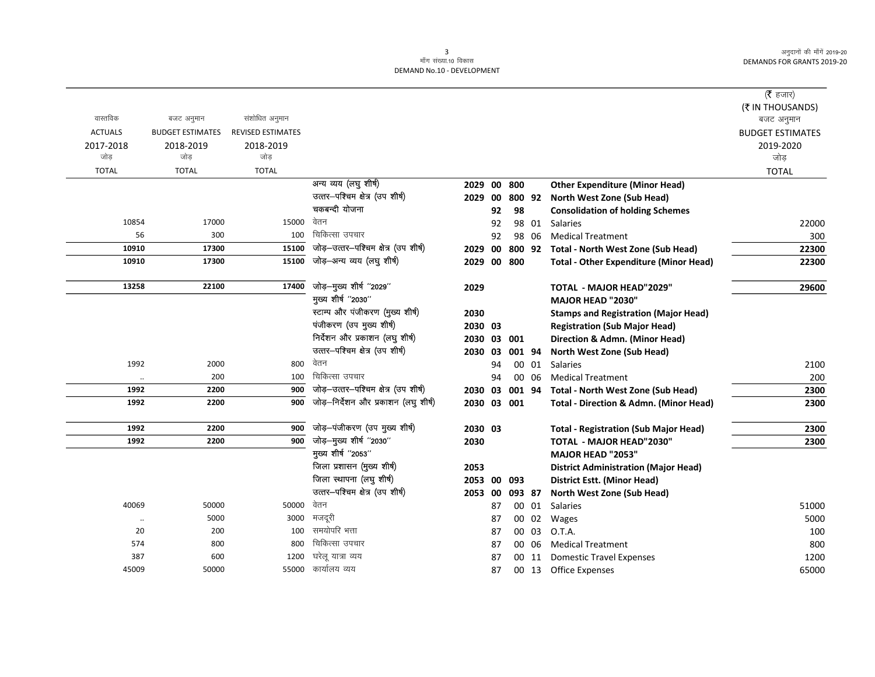|                   |                         |                          |                                      |             |    |        |       |                                                                                 | (रै हजार)               |
|-------------------|-------------------------|--------------------------|--------------------------------------|-------------|----|--------|-------|---------------------------------------------------------------------------------|-------------------------|
| वास्तविक          |                         | संशोधित अनुमान           |                                      |             |    |        |       |                                                                                 | (₹ IN THOUSANDS)        |
| <b>ACTUALS</b>    | बजट अनुमान              | <b>REVISED ESTIMATES</b> |                                      |             |    |        |       |                                                                                 | बजट अनुमान              |
|                   | <b>BUDGET ESTIMATES</b> |                          |                                      |             |    |        |       |                                                                                 | <b>BUDGET ESTIMATES</b> |
| 2017-2018<br>जोड़ | 2018-2019<br>जोड़       | 2018-2019<br>जोड़        |                                      |             |    |        |       |                                                                                 | 2019-2020<br>जोड़       |
| <b>TOTAL</b>      | <b>TOTAL</b>            | <b>TOTAL</b>             |                                      |             |    |        |       |                                                                                 | <b>TOTAL</b>            |
|                   |                         |                          | अन्य व्यय (लघु शीर्ष)                | 2029        | 00 | 800    |       | <b>Other Expenditure (Minor Head)</b>                                           |                         |
|                   |                         |                          | उत्तर-पश्चिम क्षेत्र (उप शीर्ष)      | 2029        | 00 | 800 92 |       | North West Zone (Sub Head)                                                      |                         |
|                   |                         |                          | चकबन्दी योजना                        |             | 92 | 98     |       | <b>Consolidation of holding Schemes</b>                                         |                         |
| 10854             | 17000                   | 15000                    | वेतन                                 |             | 92 |        | 98 01 | <b>Salaries</b>                                                                 | 22000                   |
| 56                | 300                     | 100                      | चिकित्सा उपचार                       |             | 92 |        | 98 06 | <b>Medical Treatment</b>                                                        | 300                     |
| 10910             | 17300                   | 15100                    | जोड़-उत्तर-पश्चिम क्षेत्र (उप शीर्ष) | 2029        | 00 | 800 92 |       | Total - North West Zone (Sub Head)                                              | 22300                   |
| 10910             | 17300                   | 15100                    | जोड़–अन्य व्यय (लघु शीर्ष)           | 2029        |    | 00 800 |       | <b>Total - Other Expenditure (Minor Head)</b>                                   | 22300                   |
|                   |                         |                          |                                      |             |    |        |       |                                                                                 |                         |
| 13258             | 22100                   | 17400                    | जोड़-मुख्य शीर्ष "2029"              | 2029        |    |        |       | <b>TOTAL - MAJOR HEAD"2029"</b>                                                 | 29600                   |
|                   |                         |                          | मुख्य शीर्ष "2030"                   |             |    |        |       | <b>MAJOR HEAD "2030"</b>                                                        |                         |
|                   |                         |                          | स्टाम्प और पंजीकरण (मुख्य शीर्ष)     | 2030        |    |        |       | <b>Stamps and Registration (Major Head)</b>                                     |                         |
|                   |                         |                          | पंजीकरण (उप मुख्य शीर्ष)             | 2030 03     |    |        |       | <b>Registration (Sub Major Head)</b>                                            |                         |
|                   |                         |                          | निर्देशन और प्रकाशन (लघु शीर्ष)      | 2030 03 001 |    |        |       | Direction & Admn. (Minor Head)                                                  |                         |
|                   |                         |                          | उत्तर-पश्चिम क्षेत्र (उप शीर्ष)      | 2030 03     |    | 001 94 |       | North West Zone (Sub Head)                                                      |                         |
| 1992              | 2000                    | 800                      | वेतन                                 |             | 94 |        | 00 01 | Salaries                                                                        | 2100                    |
| $\ddotsc$         | 200                     | 100                      | चिकित्सा उपचार                       |             | 94 |        | 00 06 | <b>Medical Treatment</b>                                                        | 200                     |
| 1992              | 2200                    | 900                      | जोड़-उत्तर-पश्चिम क्षेत्र (उप शीर्ष) | 2030 03     |    | 001 94 |       | Total - North West Zone (Sub Head)                                              | 2300                    |
| 1992              | 2200                    | 900                      | जोड़-निर्देशन और प्रकाशन (लघु शीर्ष) | 2030 03 001 |    |        |       | <b>Total - Direction &amp; Admn. (Minor Head)</b>                               | 2300                    |
| 1992              | 2200                    | 900                      | जोड़-पंजीकरण (उप मुख्य शीर्ष)        | 2030 03     |    |        |       |                                                                                 |                         |
| 1992              | 2200                    | 900                      | जोड़-मुख्य शीर्ष "2030"              | 2030        |    |        |       | <b>Total - Registration (Sub Major Head)</b><br><b>TOTAL - MAJOR HEAD"2030"</b> | 2300<br>2300            |
|                   |                         |                          | मुख्य शीर्ष "2053"                   |             |    |        |       | <b>MAJOR HEAD "2053"</b>                                                        |                         |
|                   |                         |                          | जिला प्रशासन (मुख्य शीर्ष)           | 2053        |    |        |       | <b>District Administration (Major Head)</b>                                     |                         |
|                   |                         |                          | जिला स्थापना (लघु शीर्ष)             | 2053 00     |    | 093    |       | District Estt. (Minor Head)                                                     |                         |
|                   |                         |                          | उत्तर-पश्चिम क्षेत्र (उप शीर्ष)      | 2053 00     |    | 093 87 |       | North West Zone (Sub Head)                                                      |                         |
| 40069             | 50000                   | 50000                    | वेतन                                 |             | 87 |        | 00 01 | <b>Salaries</b>                                                                 | 51000                   |
| $\ddotsc$         | 5000                    | 3000                     | मजदूरी                               |             | 87 |        | 00 02 | Wages                                                                           | 5000                    |
| 20                | 200                     | 100                      | समयोपरि भत्ता                        |             | 87 |        | 00 03 | O.T.A.                                                                          | 100                     |
| 574               | 800                     | 800                      | चिकित्सा उपचार                       |             | 87 |        | 00 06 | <b>Medical Treatment</b>                                                        | 800                     |
| 387               | 600                     | 1200                     | घरेलू यात्रा व्यय                    |             | 87 |        | 00 11 | <b>Domestic Travel Expenses</b>                                                 | 1200                    |
| 45009             | 50000                   | 55000                    | कार्यालय व्यय                        |             | 87 |        |       | 00 13 Office Expenses                                                           | 65000                   |
|                   |                         |                          |                                      |             |    |        |       |                                                                                 |                         |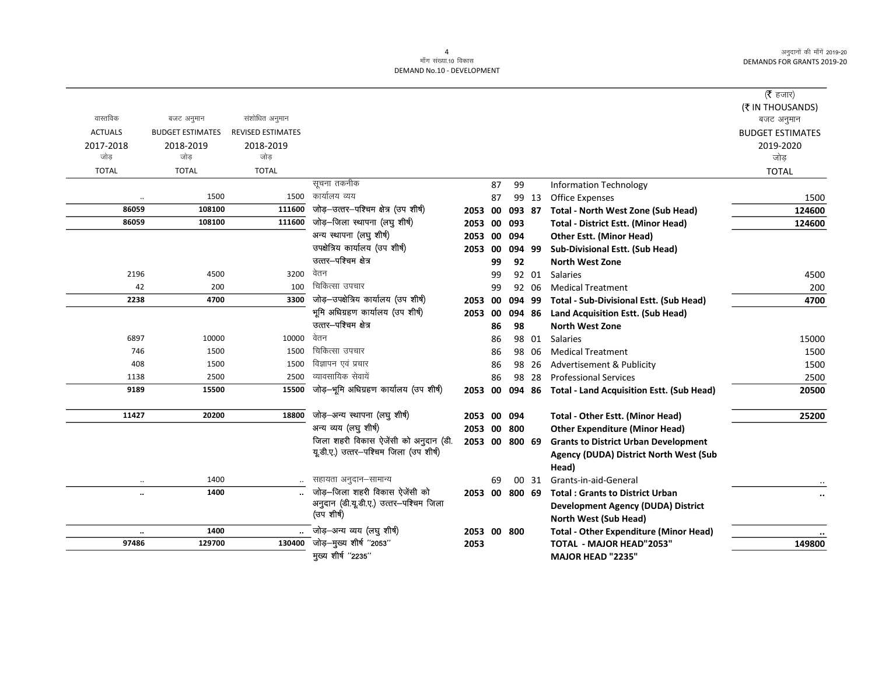| (₹ IN THOUSANDS)<br>वास्तविक<br>संशोधित अनुमान<br>बजट अनुमान<br>बजट अनुमान<br><b>ACTUALS</b><br><b>BUDGET ESTIMATES</b><br><b>REVISED ESTIMATES</b><br><b>BUDGET ESTIMATES</b><br>2017-2018<br>2018-2019<br>2018-2019<br>2019-2020<br>जोड<br>जोड<br>जोड<br>जोड<br><b>TOTAL</b><br><b>TOTAL</b><br><b>TOTAL</b><br><b>TOTAL</b><br>सूचना तकनीक<br>87<br>99<br><b>Information Technology</b><br>कार्यालय व्यय<br>1500<br>1500<br><b>Office Expenses</b><br>87<br>99 13<br>1500<br><br>जोड़-उत्तर-पश्चिम क्षेत्र (उप शीर्ष)<br>86059<br>108100<br>111600<br>124600<br>2053 00<br>Total - North West Zone (Sub Head)<br>093 87<br>जोड़-जिला स्थापना (लघु शीर्ष)<br>108100<br>111600<br>86059<br><b>Total - District Estt. (Minor Head)</b><br>124600<br>2053 00<br>093<br>अन्य स्थापना (लघु शीर्ष)<br>2053 00<br><b>Other Estt. (Minor Head)</b><br>094<br>उपक्षेत्रिय कार्यालय (उप शीर्ष)<br>2053 00<br>094 99<br><b>Sub-Divisional Estt. (Sub Head)</b><br>उत्तर-पश्चिम क्षेत्र<br>99<br>92<br><b>North West Zone</b><br>वेतन<br>2196<br>4500<br>3200<br>92 01<br><b>Salaries</b><br>4500<br>99<br>चिकित्सा उपचार<br>42<br>200<br>100<br><b>Medical Treatment</b><br>200<br>99<br>92 06<br>जोड़-उपक्षेत्रिय कार्यालय (उप शीर्ष)<br>2238<br>3300<br>4700<br>4700<br>2053 00<br>094 99<br>Total - Sub-Divisional Estt. (Sub Head)<br>भूमि अधिग्रहण कार्यालय (उप शीर्ष)<br>2053 00<br>094 86<br>Land Acquisition Estt. (Sub Head)<br>उत्तर-पश्चिम क्षेत्र<br>98<br>86<br><b>North West Zone</b><br>वेतन<br>6897<br>10000<br>10000<br>98 01<br><b>Salaries</b><br>15000<br>86<br>चिकित्सा उपचार<br>746<br>1500<br>1500<br>1500<br>86<br>98 06<br><b>Medical Treatment</b><br>विज्ञापन एवं प्रचार<br>408<br>1500<br>1500<br>86<br>Advertisement & Publicity<br>1500<br>98<br>-26<br>व्यावसायिक सेवायें<br>1138<br>2500<br>2500<br>86<br>98<br>28<br><b>Professional Services</b><br>2500<br>जोड़-भूमि अधिग्रहण कार्यालय (उप शीर्ष)<br>9189<br>15500<br>15500<br>20500<br>2053 00<br>094 86<br><b>Total - Land Acquisition Estt. (Sub Head)</b><br>जोड़-अन्य स्थापना (लघु शीर्ष)<br>11427<br>20200<br>18800<br>25200<br>2053 00<br><b>Total - Other Estt. (Minor Head)</b><br>094<br>अन्य व्यय (लघु शीर्ष)<br>2053 00 800<br><b>Other Expenditure (Minor Head)</b><br>जिला शहरी विकास ऐजेंसी को अनुदान (डी.<br>2053 00 800 69<br><b>Grants to District Urban Development</b><br>यूडी.ए.) उत्तर-पश्चिम जिला (उप शीर्ष)<br>Agency (DUDA) District North West (Sub<br>Head)<br>सहायता अनुदान-सामान्य<br>1400<br>Grants-in-aid-General<br>69<br>00 31<br>जोड़–जिला शहरी विकास ऐजेंसी को<br>1400<br>2053 00<br>800 69<br><b>Total: Grants to District Urban</b><br>$\ddot{\phantom{a}}$<br>अनुदान (डी.यू.डी.ए.) उत्तर-पश्चिम जिला<br><b>Development Agency (DUDA) District</b><br>(उप शीर्ष)<br>North West (Sub Head)<br>जोड़–अन्य व्यय (लघु शीर्ष)<br>1400<br>2053 00 800<br><b>Total - Other Expenditure (Minor Head)</b><br>$\ldots$<br><sup>-</sup> जोड़—मुख्य शीर्ष "2053"<br>97486<br>129700<br>130400<br><b>TOTAL - MAJOR HEAD"2053"</b><br>149800<br>2053 |  |                    |  |  |                   |           |
|------------------------------------------------------------------------------------------------------------------------------------------------------------------------------------------------------------------------------------------------------------------------------------------------------------------------------------------------------------------------------------------------------------------------------------------------------------------------------------------------------------------------------------------------------------------------------------------------------------------------------------------------------------------------------------------------------------------------------------------------------------------------------------------------------------------------------------------------------------------------------------------------------------------------------------------------------------------------------------------------------------------------------------------------------------------------------------------------------------------------------------------------------------------------------------------------------------------------------------------------------------------------------------------------------------------------------------------------------------------------------------------------------------------------------------------------------------------------------------------------------------------------------------------------------------------------------------------------------------------------------------------------------------------------------------------------------------------------------------------------------------------------------------------------------------------------------------------------------------------------------------------------------------------------------------------------------------------------------------------------------------------------------------------------------------------------------------------------------------------------------------------------------------------------------------------------------------------------------------------------------------------------------------------------------------------------------------------------------------------------------------------------------------------------------------------------------------------------------------------------------------------------------------------------------------------------------------------------------------------------------------------------------------------------------------------------------------------------------------------------------------------------------------------------------------------------------------------------------------------------------------------------------------------------------------------------------------------------------------------------------------------------------------------------------|--|--------------------|--|--|-------------------|-----------|
|                                                                                                                                                                                                                                                                                                                                                                                                                                                                                                                                                                                                                                                                                                                                                                                                                                                                                                                                                                                                                                                                                                                                                                                                                                                                                                                                                                                                                                                                                                                                                                                                                                                                                                                                                                                                                                                                                                                                                                                                                                                                                                                                                                                                                                                                                                                                                                                                                                                                                                                                                                                                                                                                                                                                                                                                                                                                                                                                                                                                                                                      |  |                    |  |  |                   | (रै हजार) |
|                                                                                                                                                                                                                                                                                                                                                                                                                                                                                                                                                                                                                                                                                                                                                                                                                                                                                                                                                                                                                                                                                                                                                                                                                                                                                                                                                                                                                                                                                                                                                                                                                                                                                                                                                                                                                                                                                                                                                                                                                                                                                                                                                                                                                                                                                                                                                                                                                                                                                                                                                                                                                                                                                                                                                                                                                                                                                                                                                                                                                                                      |  |                    |  |  |                   |           |
|                                                                                                                                                                                                                                                                                                                                                                                                                                                                                                                                                                                                                                                                                                                                                                                                                                                                                                                                                                                                                                                                                                                                                                                                                                                                                                                                                                                                                                                                                                                                                                                                                                                                                                                                                                                                                                                                                                                                                                                                                                                                                                                                                                                                                                                                                                                                                                                                                                                                                                                                                                                                                                                                                                                                                                                                                                                                                                                                                                                                                                                      |  |                    |  |  |                   |           |
|                                                                                                                                                                                                                                                                                                                                                                                                                                                                                                                                                                                                                                                                                                                                                                                                                                                                                                                                                                                                                                                                                                                                                                                                                                                                                                                                                                                                                                                                                                                                                                                                                                                                                                                                                                                                                                                                                                                                                                                                                                                                                                                                                                                                                                                                                                                                                                                                                                                                                                                                                                                                                                                                                                                                                                                                                                                                                                                                                                                                                                                      |  |                    |  |  |                   |           |
|                                                                                                                                                                                                                                                                                                                                                                                                                                                                                                                                                                                                                                                                                                                                                                                                                                                                                                                                                                                                                                                                                                                                                                                                                                                                                                                                                                                                                                                                                                                                                                                                                                                                                                                                                                                                                                                                                                                                                                                                                                                                                                                                                                                                                                                                                                                                                                                                                                                                                                                                                                                                                                                                                                                                                                                                                                                                                                                                                                                                                                                      |  |                    |  |  |                   |           |
|                                                                                                                                                                                                                                                                                                                                                                                                                                                                                                                                                                                                                                                                                                                                                                                                                                                                                                                                                                                                                                                                                                                                                                                                                                                                                                                                                                                                                                                                                                                                                                                                                                                                                                                                                                                                                                                                                                                                                                                                                                                                                                                                                                                                                                                                                                                                                                                                                                                                                                                                                                                                                                                                                                                                                                                                                                                                                                                                                                                                                                                      |  |                    |  |  |                   |           |
|                                                                                                                                                                                                                                                                                                                                                                                                                                                                                                                                                                                                                                                                                                                                                                                                                                                                                                                                                                                                                                                                                                                                                                                                                                                                                                                                                                                                                                                                                                                                                                                                                                                                                                                                                                                                                                                                                                                                                                                                                                                                                                                                                                                                                                                                                                                                                                                                                                                                                                                                                                                                                                                                                                                                                                                                                                                                                                                                                                                                                                                      |  |                    |  |  |                   |           |
|                                                                                                                                                                                                                                                                                                                                                                                                                                                                                                                                                                                                                                                                                                                                                                                                                                                                                                                                                                                                                                                                                                                                                                                                                                                                                                                                                                                                                                                                                                                                                                                                                                                                                                                                                                                                                                                                                                                                                                                                                                                                                                                                                                                                                                                                                                                                                                                                                                                                                                                                                                                                                                                                                                                                                                                                                                                                                                                                                                                                                                                      |  |                    |  |  |                   |           |
|                                                                                                                                                                                                                                                                                                                                                                                                                                                                                                                                                                                                                                                                                                                                                                                                                                                                                                                                                                                                                                                                                                                                                                                                                                                                                                                                                                                                                                                                                                                                                                                                                                                                                                                                                                                                                                                                                                                                                                                                                                                                                                                                                                                                                                                                                                                                                                                                                                                                                                                                                                                                                                                                                                                                                                                                                                                                                                                                                                                                                                                      |  |                    |  |  |                   |           |
|                                                                                                                                                                                                                                                                                                                                                                                                                                                                                                                                                                                                                                                                                                                                                                                                                                                                                                                                                                                                                                                                                                                                                                                                                                                                                                                                                                                                                                                                                                                                                                                                                                                                                                                                                                                                                                                                                                                                                                                                                                                                                                                                                                                                                                                                                                                                                                                                                                                                                                                                                                                                                                                                                                                                                                                                                                                                                                                                                                                                                                                      |  |                    |  |  |                   |           |
|                                                                                                                                                                                                                                                                                                                                                                                                                                                                                                                                                                                                                                                                                                                                                                                                                                                                                                                                                                                                                                                                                                                                                                                                                                                                                                                                                                                                                                                                                                                                                                                                                                                                                                                                                                                                                                                                                                                                                                                                                                                                                                                                                                                                                                                                                                                                                                                                                                                                                                                                                                                                                                                                                                                                                                                                                                                                                                                                                                                                                                                      |  |                    |  |  |                   |           |
|                                                                                                                                                                                                                                                                                                                                                                                                                                                                                                                                                                                                                                                                                                                                                                                                                                                                                                                                                                                                                                                                                                                                                                                                                                                                                                                                                                                                                                                                                                                                                                                                                                                                                                                                                                                                                                                                                                                                                                                                                                                                                                                                                                                                                                                                                                                                                                                                                                                                                                                                                                                                                                                                                                                                                                                                                                                                                                                                                                                                                                                      |  |                    |  |  |                   |           |
|                                                                                                                                                                                                                                                                                                                                                                                                                                                                                                                                                                                                                                                                                                                                                                                                                                                                                                                                                                                                                                                                                                                                                                                                                                                                                                                                                                                                                                                                                                                                                                                                                                                                                                                                                                                                                                                                                                                                                                                                                                                                                                                                                                                                                                                                                                                                                                                                                                                                                                                                                                                                                                                                                                                                                                                                                                                                                                                                                                                                                                                      |  |                    |  |  |                   |           |
|                                                                                                                                                                                                                                                                                                                                                                                                                                                                                                                                                                                                                                                                                                                                                                                                                                                                                                                                                                                                                                                                                                                                                                                                                                                                                                                                                                                                                                                                                                                                                                                                                                                                                                                                                                                                                                                                                                                                                                                                                                                                                                                                                                                                                                                                                                                                                                                                                                                                                                                                                                                                                                                                                                                                                                                                                                                                                                                                                                                                                                                      |  |                    |  |  |                   |           |
|                                                                                                                                                                                                                                                                                                                                                                                                                                                                                                                                                                                                                                                                                                                                                                                                                                                                                                                                                                                                                                                                                                                                                                                                                                                                                                                                                                                                                                                                                                                                                                                                                                                                                                                                                                                                                                                                                                                                                                                                                                                                                                                                                                                                                                                                                                                                                                                                                                                                                                                                                                                                                                                                                                                                                                                                                                                                                                                                                                                                                                                      |  |                    |  |  |                   |           |
|                                                                                                                                                                                                                                                                                                                                                                                                                                                                                                                                                                                                                                                                                                                                                                                                                                                                                                                                                                                                                                                                                                                                                                                                                                                                                                                                                                                                                                                                                                                                                                                                                                                                                                                                                                                                                                                                                                                                                                                                                                                                                                                                                                                                                                                                                                                                                                                                                                                                                                                                                                                                                                                                                                                                                                                                                                                                                                                                                                                                                                                      |  |                    |  |  |                   |           |
|                                                                                                                                                                                                                                                                                                                                                                                                                                                                                                                                                                                                                                                                                                                                                                                                                                                                                                                                                                                                                                                                                                                                                                                                                                                                                                                                                                                                                                                                                                                                                                                                                                                                                                                                                                                                                                                                                                                                                                                                                                                                                                                                                                                                                                                                                                                                                                                                                                                                                                                                                                                                                                                                                                                                                                                                                                                                                                                                                                                                                                                      |  |                    |  |  |                   |           |
|                                                                                                                                                                                                                                                                                                                                                                                                                                                                                                                                                                                                                                                                                                                                                                                                                                                                                                                                                                                                                                                                                                                                                                                                                                                                                                                                                                                                                                                                                                                                                                                                                                                                                                                                                                                                                                                                                                                                                                                                                                                                                                                                                                                                                                                                                                                                                                                                                                                                                                                                                                                                                                                                                                                                                                                                                                                                                                                                                                                                                                                      |  |                    |  |  |                   |           |
|                                                                                                                                                                                                                                                                                                                                                                                                                                                                                                                                                                                                                                                                                                                                                                                                                                                                                                                                                                                                                                                                                                                                                                                                                                                                                                                                                                                                                                                                                                                                                                                                                                                                                                                                                                                                                                                                                                                                                                                                                                                                                                                                                                                                                                                                                                                                                                                                                                                                                                                                                                                                                                                                                                                                                                                                                                                                                                                                                                                                                                                      |  |                    |  |  |                   |           |
|                                                                                                                                                                                                                                                                                                                                                                                                                                                                                                                                                                                                                                                                                                                                                                                                                                                                                                                                                                                                                                                                                                                                                                                                                                                                                                                                                                                                                                                                                                                                                                                                                                                                                                                                                                                                                                                                                                                                                                                                                                                                                                                                                                                                                                                                                                                                                                                                                                                                                                                                                                                                                                                                                                                                                                                                                                                                                                                                                                                                                                                      |  |                    |  |  |                   |           |
|                                                                                                                                                                                                                                                                                                                                                                                                                                                                                                                                                                                                                                                                                                                                                                                                                                                                                                                                                                                                                                                                                                                                                                                                                                                                                                                                                                                                                                                                                                                                                                                                                                                                                                                                                                                                                                                                                                                                                                                                                                                                                                                                                                                                                                                                                                                                                                                                                                                                                                                                                                                                                                                                                                                                                                                                                                                                                                                                                                                                                                                      |  |                    |  |  |                   |           |
|                                                                                                                                                                                                                                                                                                                                                                                                                                                                                                                                                                                                                                                                                                                                                                                                                                                                                                                                                                                                                                                                                                                                                                                                                                                                                                                                                                                                                                                                                                                                                                                                                                                                                                                                                                                                                                                                                                                                                                                                                                                                                                                                                                                                                                                                                                                                                                                                                                                                                                                                                                                                                                                                                                                                                                                                                                                                                                                                                                                                                                                      |  |                    |  |  |                   |           |
|                                                                                                                                                                                                                                                                                                                                                                                                                                                                                                                                                                                                                                                                                                                                                                                                                                                                                                                                                                                                                                                                                                                                                                                                                                                                                                                                                                                                                                                                                                                                                                                                                                                                                                                                                                                                                                                                                                                                                                                                                                                                                                                                                                                                                                                                                                                                                                                                                                                                                                                                                                                                                                                                                                                                                                                                                                                                                                                                                                                                                                                      |  |                    |  |  |                   |           |
|                                                                                                                                                                                                                                                                                                                                                                                                                                                                                                                                                                                                                                                                                                                                                                                                                                                                                                                                                                                                                                                                                                                                                                                                                                                                                                                                                                                                                                                                                                                                                                                                                                                                                                                                                                                                                                                                                                                                                                                                                                                                                                                                                                                                                                                                                                                                                                                                                                                                                                                                                                                                                                                                                                                                                                                                                                                                                                                                                                                                                                                      |  |                    |  |  |                   |           |
|                                                                                                                                                                                                                                                                                                                                                                                                                                                                                                                                                                                                                                                                                                                                                                                                                                                                                                                                                                                                                                                                                                                                                                                                                                                                                                                                                                                                                                                                                                                                                                                                                                                                                                                                                                                                                                                                                                                                                                                                                                                                                                                                                                                                                                                                                                                                                                                                                                                                                                                                                                                                                                                                                                                                                                                                                                                                                                                                                                                                                                                      |  |                    |  |  |                   |           |
|                                                                                                                                                                                                                                                                                                                                                                                                                                                                                                                                                                                                                                                                                                                                                                                                                                                                                                                                                                                                                                                                                                                                                                                                                                                                                                                                                                                                                                                                                                                                                                                                                                                                                                                                                                                                                                                                                                                                                                                                                                                                                                                                                                                                                                                                                                                                                                                                                                                                                                                                                                                                                                                                                                                                                                                                                                                                                                                                                                                                                                                      |  |                    |  |  |                   |           |
|                                                                                                                                                                                                                                                                                                                                                                                                                                                                                                                                                                                                                                                                                                                                                                                                                                                                                                                                                                                                                                                                                                                                                                                                                                                                                                                                                                                                                                                                                                                                                                                                                                                                                                                                                                                                                                                                                                                                                                                                                                                                                                                                                                                                                                                                                                                                                                                                                                                                                                                                                                                                                                                                                                                                                                                                                                                                                                                                                                                                                                                      |  |                    |  |  |                   |           |
|                                                                                                                                                                                                                                                                                                                                                                                                                                                                                                                                                                                                                                                                                                                                                                                                                                                                                                                                                                                                                                                                                                                                                                                                                                                                                                                                                                                                                                                                                                                                                                                                                                                                                                                                                                                                                                                                                                                                                                                                                                                                                                                                                                                                                                                                                                                                                                                                                                                                                                                                                                                                                                                                                                                                                                                                                                                                                                                                                                                                                                                      |  |                    |  |  |                   |           |
|                                                                                                                                                                                                                                                                                                                                                                                                                                                                                                                                                                                                                                                                                                                                                                                                                                                                                                                                                                                                                                                                                                                                                                                                                                                                                                                                                                                                                                                                                                                                                                                                                                                                                                                                                                                                                                                                                                                                                                                                                                                                                                                                                                                                                                                                                                                                                                                                                                                                                                                                                                                                                                                                                                                                                                                                                                                                                                                                                                                                                                                      |  |                    |  |  |                   |           |
|                                                                                                                                                                                                                                                                                                                                                                                                                                                                                                                                                                                                                                                                                                                                                                                                                                                                                                                                                                                                                                                                                                                                                                                                                                                                                                                                                                                                                                                                                                                                                                                                                                                                                                                                                                                                                                                                                                                                                                                                                                                                                                                                                                                                                                                                                                                                                                                                                                                                                                                                                                                                                                                                                                                                                                                                                                                                                                                                                                                                                                                      |  |                    |  |  |                   |           |
|                                                                                                                                                                                                                                                                                                                                                                                                                                                                                                                                                                                                                                                                                                                                                                                                                                                                                                                                                                                                                                                                                                                                                                                                                                                                                                                                                                                                                                                                                                                                                                                                                                                                                                                                                                                                                                                                                                                                                                                                                                                                                                                                                                                                                                                                                                                                                                                                                                                                                                                                                                                                                                                                                                                                                                                                                                                                                                                                                                                                                                                      |  |                    |  |  |                   |           |
|                                                                                                                                                                                                                                                                                                                                                                                                                                                                                                                                                                                                                                                                                                                                                                                                                                                                                                                                                                                                                                                                                                                                                                                                                                                                                                                                                                                                                                                                                                                                                                                                                                                                                                                                                                                                                                                                                                                                                                                                                                                                                                                                                                                                                                                                                                                                                                                                                                                                                                                                                                                                                                                                                                                                                                                                                                                                                                                                                                                                                                                      |  |                    |  |  |                   |           |
|                                                                                                                                                                                                                                                                                                                                                                                                                                                                                                                                                                                                                                                                                                                                                                                                                                                                                                                                                                                                                                                                                                                                                                                                                                                                                                                                                                                                                                                                                                                                                                                                                                                                                                                                                                                                                                                                                                                                                                                                                                                                                                                                                                                                                                                                                                                                                                                                                                                                                                                                                                                                                                                                                                                                                                                                                                                                                                                                                                                                                                                      |  |                    |  |  |                   |           |
|                                                                                                                                                                                                                                                                                                                                                                                                                                                                                                                                                                                                                                                                                                                                                                                                                                                                                                                                                                                                                                                                                                                                                                                                                                                                                                                                                                                                                                                                                                                                                                                                                                                                                                                                                                                                                                                                                                                                                                                                                                                                                                                                                                                                                                                                                                                                                                                                                                                                                                                                                                                                                                                                                                                                                                                                                                                                                                                                                                                                                                                      |  |                    |  |  |                   |           |
|                                                                                                                                                                                                                                                                                                                                                                                                                                                                                                                                                                                                                                                                                                                                                                                                                                                                                                                                                                                                                                                                                                                                                                                                                                                                                                                                                                                                                                                                                                                                                                                                                                                                                                                                                                                                                                                                                                                                                                                                                                                                                                                                                                                                                                                                                                                                                                                                                                                                                                                                                                                                                                                                                                                                                                                                                                                                                                                                                                                                                                                      |  |                    |  |  |                   |           |
|                                                                                                                                                                                                                                                                                                                                                                                                                                                                                                                                                                                                                                                                                                                                                                                                                                                                                                                                                                                                                                                                                                                                                                                                                                                                                                                                                                                                                                                                                                                                                                                                                                                                                                                                                                                                                                                                                                                                                                                                                                                                                                                                                                                                                                                                                                                                                                                                                                                                                                                                                                                                                                                                                                                                                                                                                                                                                                                                                                                                                                                      |  |                    |  |  |                   |           |
|                                                                                                                                                                                                                                                                                                                                                                                                                                                                                                                                                                                                                                                                                                                                                                                                                                                                                                                                                                                                                                                                                                                                                                                                                                                                                                                                                                                                                                                                                                                                                                                                                                                                                                                                                                                                                                                                                                                                                                                                                                                                                                                                                                                                                                                                                                                                                                                                                                                                                                                                                                                                                                                                                                                                                                                                                                                                                                                                                                                                                                                      |  | मुख्य शीर्ष "2235" |  |  | MAJOR HEAD "2235" |           |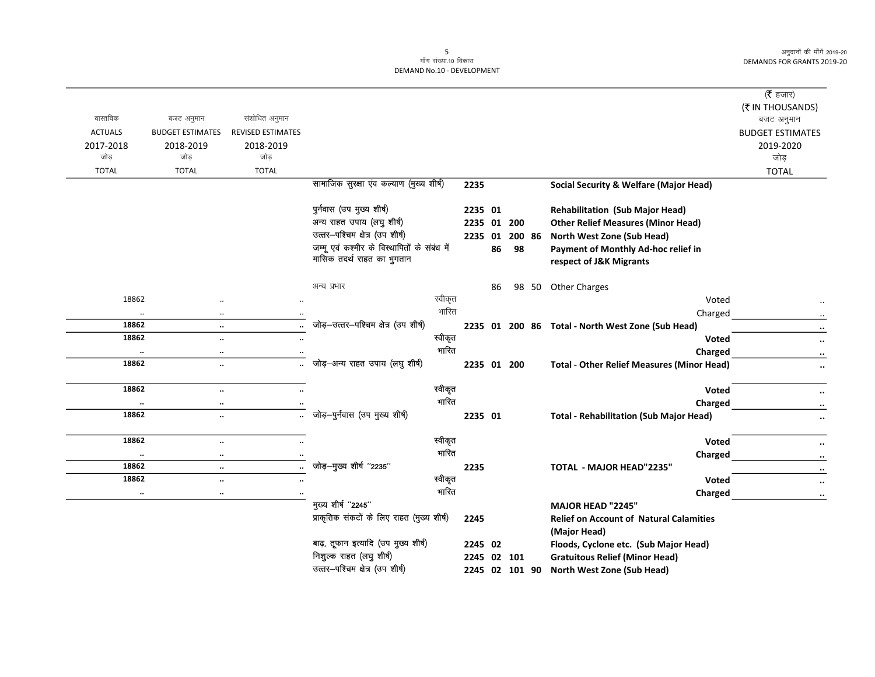|                |                                      |                          |                                              |      |             |                |                                                                | (रै हजार)                                               |
|----------------|--------------------------------------|--------------------------|----------------------------------------------|------|-------------|----------------|----------------------------------------------------------------|---------------------------------------------------------|
|                |                                      |                          |                                              |      |             |                |                                                                | (₹ IN THOUSANDS)                                        |
| वास्तविक       | बजट अनुमान                           | संशोधित अनुमान           |                                              |      |             |                |                                                                | बजट अनुमान                                              |
| <b>ACTUALS</b> | <b>BUDGET ESTIMATES</b>              | <b>REVISED ESTIMATES</b> |                                              |      |             |                |                                                                | <b>BUDGET ESTIMATES</b>                                 |
| 2017-2018      | 2018-2019                            | 2018-2019                |                                              |      |             |                |                                                                | 2019-2020                                               |
| जोड़           | जोड                                  | जोड़                     |                                              |      |             |                |                                                                | जोड                                                     |
| <b>TOTAL</b>   | <b>TOTAL</b>                         | <b>TOTAL</b>             |                                              |      |             |                |                                                                | <b>TOTAL</b>                                            |
|                |                                      |                          | सामाजिक सुरक्षा एंव कल्याण (मुख्य शीर्ष)     | 2235 |             |                | <b>Social Security &amp; Welfare (Major Head)</b>              |                                                         |
|                |                                      |                          | पुर्नवास (उप मुख्य शीर्ष)                    |      | 2235 01     |                | <b>Rehabilitation (Sub Major Head)</b>                         |                                                         |
|                |                                      |                          | अन्य राहत उपाय (लघु शीर्ष)                   |      | 2235 01 200 |                | <b>Other Relief Measures (Minor Head)</b>                      |                                                         |
|                |                                      |                          | उत्तर-पश्चिम क्षेत्र (उप शीर्ष)              |      | 2235 01     | 200 86         | North West Zone (Sub Head)                                     |                                                         |
|                |                                      |                          | जम्मू एवं कश्मीर के विस्थापितों के संबंध में |      | 86          | 98             | Payment of Monthly Ad-hoc relief in                            |                                                         |
|                |                                      |                          | मासिक तदर्थ राहत का भुगतान                   |      |             |                | respect of J&K Migrants                                        |                                                         |
|                |                                      |                          | अन्य प्रभार                                  |      | 86          |                | 98 50 Other Charges                                            |                                                         |
| 18862          |                                      |                          | स्वीकृत                                      |      |             |                | Voted                                                          |                                                         |
|                |                                      |                          | भारित                                        |      |             |                | Charged                                                        |                                                         |
| 18862          | $\ldots$<br>$\ddot{\phantom{0}}$     |                          | जोड़-उत्तर-पश्चिम क्षेत्र (उप शीर्ष)         |      |             |                | 2235 01 200 86 Total - North West Zone (Sub Head)              | $\cdots$                                                |
| 18862          | $\ddotsc$                            |                          | स्वीकृत                                      |      |             |                | Voted                                                          | $\cdots$                                                |
|                | $\ddotsc$                            | $\ddotsc$                | भारित                                        |      |             |                | Charged                                                        | $\ddotsc$                                               |
| 18862          | $\ddotsc$<br>$\ddotsc$               |                          | जोड़-अन्य राहत उपाय (लघु शीर्ष)              |      | 2235 01 200 |                | <b>Total - Other Relief Measures (Minor Head)</b>              | $\bullet\bullet$                                        |
|                | $\ddotsc$                            |                          |                                              |      |             |                |                                                                | $\ddot{\phantom{0}}$                                    |
| 18862          | $\ddotsc$                            | $\ddot{\phantom{a}}$     | स्वीकृत                                      |      |             |                | Voted                                                          | $\ddotsc$                                               |
|                | $\cdot\cdot$<br>$\ddot{\phantom{0}}$ |                          | भारित                                        |      |             |                | Charged                                                        | $\cdot\cdot$                                            |
| 18862          | $\ddotsc$                            | $\ddot{\phantom{a}}$     | जोड़-पुर्नवास (उप मुख्य शीर्ष)               |      | 2235 01     |                | <b>Total - Rehabilitation (Sub Major Head)</b>                 | $\ddot{\phantom{0}}\phantom{0}\bullet\dot{\phantom{0}}$ |
| 18862          |                                      |                          | स्वीकृत                                      |      |             |                | Voted                                                          |                                                         |
|                | $\ddotsc$                            |                          | भारित                                        |      |             |                |                                                                | $\ddot{\phantom{0}}\phantom{0}\bullet\bullet$           |
| 18862          | $\ddotsc$<br>$\cdots$                |                          | जोड़-मुख्य शीर्ष "2235"                      | 2235 |             |                | Charged<br>TOTAL - MAJOR HEAD"2235"                            | $\ddot{\phantom{a}}$                                    |
| 18862          | $\ddotsc$                            | $\ddotsc$                | स्वीकृत                                      |      |             |                | Voted                                                          | $\bullet\bullet$                                        |
|                | $\ddotsc$                            | $\ddot{\phantom{a}}$     | भारित                                        |      |             |                |                                                                | $\ddotsc$                                               |
|                | $\ddotsc$<br>$\ldots$                |                          | मुख्य शीर्ष "2245"                           |      |             |                | Charged                                                        | $\ddotsc$                                               |
|                |                                      |                          | प्राकृतिक संकटों के लिए राहत (मुख्य शीर्ष)   |      |             |                | MAJOR HEAD "2245"                                              |                                                         |
|                |                                      |                          |                                              | 2245 |             |                | <b>Relief on Account of Natural Calamities</b><br>(Major Head) |                                                         |
|                |                                      |                          | बाढ़, तूफान इत्यादि (उप मुख्य शीर्ष)         |      | 2245 02     |                | Floods, Cyclone etc. (Sub Major Head)                          |                                                         |
|                |                                      |                          | निशुल्क राहत (लघु शीर्ष)                     |      | 2245 02 101 |                | <b>Gratuitous Relief (Minor Head)</b>                          |                                                         |
|                |                                      |                          | उत्तर-पश्चिम क्षेत्र (उप शीर्ष)              |      |             | 2245 02 101 90 | <b>North West Zone (Sub Head)</b>                              |                                                         |
|                |                                      |                          |                                              |      |             |                |                                                                |                                                         |